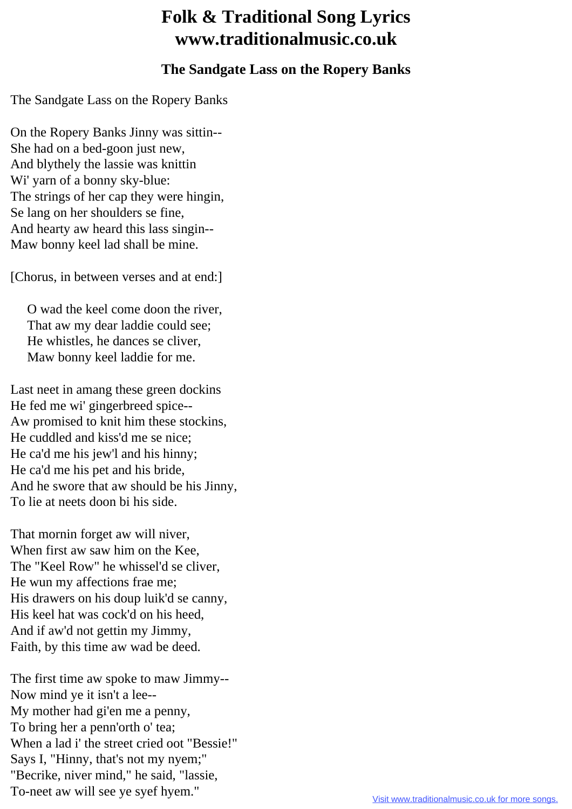## **Folk & Traditional Song Lyrics www.traditionalmusic.co.uk**

## **The Sandgate Lass on the Ropery Banks**

The Sandgate Lass on the Ropery Banks

On the Ropery Banks Jinny was sittin-- She had on a bed-goon just new, And blythely the lassie was knittin Wi' yarn of a bonny sky-blue: The strings of her cap they were hingin, Se lang on her shoulders se fine, And hearty aw heard this lass singin-- Maw bonny keel lad shall be mine.

[Chorus, in between verses and at end:]

 O wad the keel come doon the river, That aw my dear laddie could see; He whistles, he dances se cliver, Maw bonny keel laddie for me.

Last neet in amang these green dockins He fed me wi' gingerbreed spice-- Aw promised to knit him these stockins, He cuddled and kiss'd me se nice; He ca'd me his jew'l and his hinny; He ca'd me his pet and his bride, And he swore that aw should be his Jinny, To lie at neets doon bi his side.

That mornin forget aw will niver, When first aw saw him on the Kee, The "Keel Row" he whissel'd se cliver, He wun my affections frae me; His drawers on his doup luik'd se canny, His keel hat was cock'd on his heed, And if aw'd not gettin my Jimmy, Faith, by this time aw wad be deed.

The first time aw spoke to maw Jimmy-- Now mind ye it isn't a lee-- My mother had gi'en me a penny, To bring her a penn'orth o' tea; When a lad i' the street cried oot "Bessie!" Says I, "Hinny, that's not my nyem;" "Becrike, niver mind," he said, "lassie, To-neet aw will see ye syef hyem."